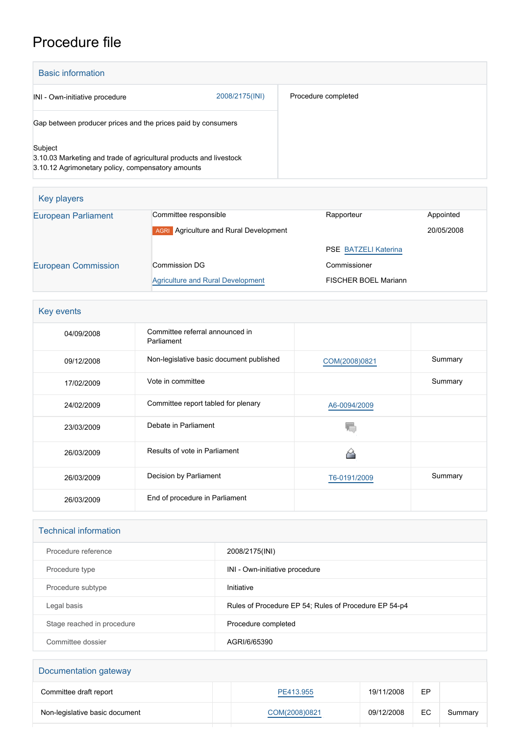# Procedure file

| <b>Basic information</b>                                                                                                           |                |                     |
|------------------------------------------------------------------------------------------------------------------------------------|----------------|---------------------|
| INI - Own-initiative procedure                                                                                                     | 2008/2175(INI) | Procedure completed |
| Gap between producer prices and the prices paid by consumers                                                                       |                |                     |
| Subject<br>3.10.03 Marketing and trade of agricultural products and livestock<br>3.10.12 Agrimonetary policy, compensatory amounts |                |                     |

| Key players                |                                                  |                             |            |
|----------------------------|--------------------------------------------------|-----------------------------|------------|
| <b>European Parliament</b> | Committee responsible                            | Rapporteur                  | Appointed  |
|                            | Agriculture and Rural Development<br><b>AGRI</b> |                             | 20/05/2008 |
|                            |                                                  | <b>PSE BATZELI Katerina</b> |            |
| <b>European Commission</b> | Commission DG                                    | Commissioner                |            |
|                            | Agriculture and Rural Development                | <b>FISCHER BOEL Mariann</b> |            |

| Key events |                                               |               |         |
|------------|-----------------------------------------------|---------------|---------|
| 04/09/2008 | Committee referral announced in<br>Parliament |               |         |
| 09/12/2008 | Non-legislative basic document published      | COM(2008)0821 | Summary |
| 17/02/2009 | Vote in committee                             |               | Summary |
| 24/02/2009 | Committee report tabled for plenary           | A6-0094/2009  |         |
| 23/03/2009 | Debate in Parliament                          |               |         |
| 26/03/2009 | Results of vote in Parliament                 |               |         |
| 26/03/2009 | Decision by Parliament                        | T6-0191/2009  | Summary |
| 26/03/2009 | End of procedure in Parliament                |               |         |

#### Technical information

| Procedure reference        | 2008/2175(INI)                                        |
|----------------------------|-------------------------------------------------------|
| Procedure type             | INI - Own-initiative procedure                        |
| Procedure subtype          | Initiative                                            |
| Legal basis                | Rules of Procedure EP 54; Rules of Procedure EP 54-p4 |
| Stage reached in procedure | Procedure completed                                   |
| Committee dossier          | AGRI/6/65390                                          |

| Documentation gateway          |               |            |    |         |
|--------------------------------|---------------|------------|----|---------|
| Committee draft report         | PE413.955     | 19/11/2008 | EP |         |
| Non-legislative basic document | COM(2008)0821 | 09/12/2008 | EC | Summary |
|                                |               |            |    |         |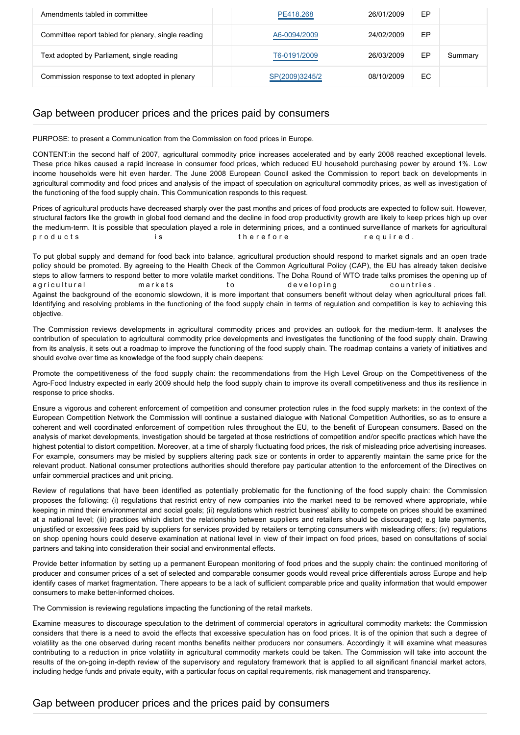| Amendments tabled in committee                      | PE418.268      | 26/01/2009 | EP |         |
|-----------------------------------------------------|----------------|------------|----|---------|
| Committee report tabled for plenary, single reading | A6-0094/2009   | 24/02/2009 | EP |         |
| Text adopted by Parliament, single reading          | T6-0191/2009   | 26/03/2009 | EP | Summary |
| Commission response to text adopted in plenary      | SP(2009)3245/2 | 08/10/2009 | ЕC |         |

# Gap between producer prices and the prices paid by consumers

PURPOSE: to present a Communication from the Commission on food prices in Europe.

CONTENT:in the second half of 2007, agricultural commodity price increases accelerated and by early 2008 reached exceptional levels. These price hikes caused a rapid increase in consumer food prices, which reduced EU household purchasing power by around 1%. Low income households were hit even harder. The June 2008 European Council asked the Commission to report back on developments in agricultural commodity and food prices and analysis of the impact of speculation on agricultural commodity prices, as well as investigation of the functioning of the food supply chain. This Communication responds to this request.

Prices of agricultural products have decreased sharply over the past months and prices of food products are expected to follow suit. However, structural factors like the growth in global food demand and the decline in food crop productivity growth are likely to keep prices high up over the medium-term. It is possible that speculation played a role in determining prices, and a continued surveillance of markets for agricultural p r o d u c t s i s the refore the required.

To put global supply and demand for food back into balance, agricultural production should respond to market signals and an open trade policy should be promoted. By agreeing to the Health Check of the Common Agricultural Policy (CAP), the EU has already taken decisive steps to allow farmers to respond better to more volatile market conditions. The Doha Round of WTO trade talks promises the opening up of a gricultural extension arkets to the developing countries. Against the background of the economic slowdown, it is more important that consumers benefit without delay when agricultural prices fall. Identifying and resolving problems in the functioning of the food supply chain in terms of regulation and competition is key to achieving this objective.

The Commission reviews developments in agricultural commodity prices and provides an outlook for the medium-term. It analyses the contribution of speculation to agricultural commodity price developments and investigates the functioning of the food supply chain. Drawing from its analysis, it sets out a roadmap to improve the functioning of the food supply chain. The roadmap contains a variety of initiatives and should evolve over time as knowledge of the food supply chain deepens:

Promote the competitiveness of the food supply chain: the recommendations from the High Level Group on the Competitiveness of the Agro-Food Industry expected in early 2009 should help the food supply chain to improve its overall competitiveness and thus its resilience in response to price shocks.

Ensure a vigorous and coherent enforcement of competition and consumer protection rules in the food supply markets: in the context of the European Competition Network the Commission will continue a sustained dialogue with National Competition Authorities, so as to ensure a coherent and well coordinated enforcement of competition rules throughout the EU, to the benefit of European consumers. Based on the analysis of market developments, investigation should be targeted at those restrictions of competition and/or specific practices which have the highest potential to distort competition. Moreover, at a time of sharply fluctuating food prices, the risk of misleading price advertising increases. For example, consumers may be misled by suppliers altering pack size or contents in order to apparently maintain the same price for the relevant product. National consumer protections authorities should therefore pay particular attention to the enforcement of the Directives on unfair commercial practices and unit pricing.

Review of regulations that have been identified as potentially problematic for the functioning of the food supply chain: the Commission proposes the following: (i) regulations that restrict entry of new companies into the market need to be removed where appropriate, while keeping in mind their environmental and social goals; (ii) regulations which restrict business' ability to compete on prices should be examined at a national level; (iii) practices which distort the relationship between suppliers and retailers should be discouraged; e.g late payments, unjustified or excessive fees paid by suppliers for services provided by retailers or tempting consumers with misleading offers; (iv) regulations on shop opening hours could deserve examination at national level in view of their impact on food prices, based on consultations of social partners and taking into consideration their social and environmental effects.

Provide better information by setting up a permanent European monitoring of food prices and the supply chain: the continued monitoring of producer and consumer prices of a set of selected and comparable consumer goods would reveal price differentials across Europe and help identify cases of market fragmentation. There appears to be a lack of sufficient comparable price and quality information that would empower consumers to make better-informed choices.

The Commission is reviewing regulations impacting the functioning of the retail markets.

Examine measures to discourage speculation to the detriment of commercial operators in agricultural commodity markets: the Commission considers that there is a need to avoid the effects that excessive speculation has on food prices. It is of the opinion that such a degree of volatility as the one observed during recent months benefits neither producers nor consumers. Accordingly it will examine what measures contributing to a reduction in price volatility in agricultural commodity markets could be taken. The Commission will take into account the results of the on-going in-depth review of the supervisory and regulatory framework that is applied to all significant financial market actors, including hedge funds and private equity, with a particular focus on capital requirements, risk management and transparency.

## Gap between producer prices and the prices paid by consumers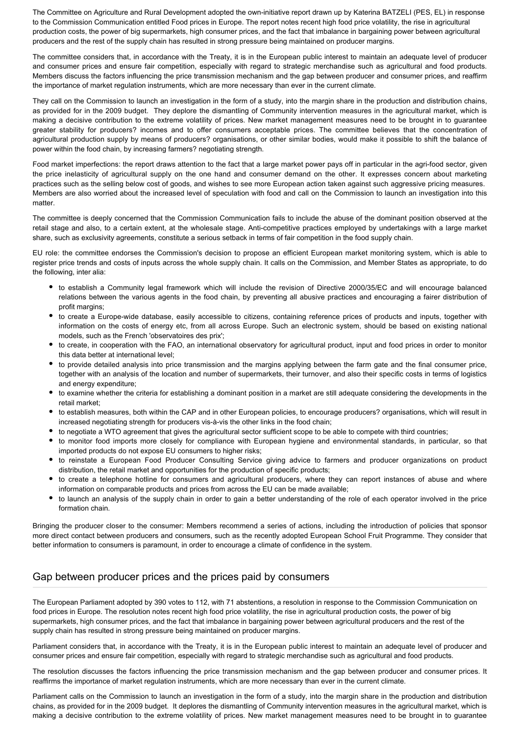The Committee on Agriculture and Rural Development adopted the own-initiative report drawn up by Katerina BATZELI (PES, EL) in response to the Commission Communication entitled Food prices in Europe. The report notes recent high food price volatility, the rise in agricultural production costs, the power of big supermarkets, high consumer prices, and the fact that imbalance in bargaining power between agricultural producers and the rest of the supply chain has resulted in strong pressure being maintained on producer margins.

The committee considers that, in accordance with the Treaty, it is in the European public interest to maintain an adequate level of producer and consumer prices and ensure fair competition, especially with regard to strategic merchandise such as agricultural and food products. Members discuss the factors influencing the price transmission mechanism and the gap between producer and consumer prices, and reaffirm the importance of market regulation instruments, which are more necessary than ever in the current climate.

They call on the Commission to launch an investigation in the form of a study, into the margin share in the production and distribution chains, as provided for in the 2009 budget. They deplore the dismantling of Community intervention measures in the agricultural market, which is making a decisive contribution to the extreme volatility of prices. New market management measures need to be brought in to guarantee greater stability for producers? incomes and to offer consumers acceptable prices. The committee believes that the concentration of agricultural production supply by means of producers? organisations, or other similar bodies, would make it possible to shift the balance of power within the food chain, by increasing farmers? negotiating strength.

Food market imperfections: the report draws attention to the fact that a large market power pays off in particular in the agri-food sector, given the price inelasticity of agricultural supply on the one hand and consumer demand on the other. It expresses concern about marketing practices such as the selling below cost of goods, and wishes to see more European action taken against such aggressive pricing measures. Members are also worried about the increased level of speculation with food and call on the Commission to launch an investigation into this matter.

The committee is deeply concerned that the Commission Communication fails to include the abuse of the dominant position observed at the retail stage and also, to a certain extent, at the wholesale stage. Anti-competitive practices employed by undertakings with a large market share, such as exclusivity agreements, constitute a serious setback in terms of fair competition in the food supply chain.

EU role: the committee endorses the Commission's decision to propose an efficient European market monitoring system, which is able to register price trends and costs of inputs across the whole supply chain. It calls on the Commission, and Member States as appropriate, to do the following, inter alia:

- to establish a Community legal framework which will include the revision of Directive 2000/35/EC and will encourage balanced relations between the various agents in the food chain, by preventing all abusive practices and encouraging a fairer distribution of profit margins;
- to create a Europe-wide database, easily accessible to citizens, containing reference prices of products and inputs, together with information on the costs of energy etc, from all across Europe. Such an electronic system, should be based on existing national models, such as the French 'observatoires des prix';
- to create, in cooperation with the FAO, an international observatory for agricultural product, input and food prices in order to monitor this data better at international level;
- to provide detailed analysis into price transmission and the margins applying between the farm gate and the final consumer price, together with an analysis of the location and number of supermarkets, their turnover, and also their specific costs in terms of logistics and energy expenditure;
- to examine whether the criteria for establishing a dominant position in a market are still adequate considering the developments in the retail market;
- to establish measures, both within the CAP and in other European policies, to encourage producers? organisations, which will result in increased negotiating strength for producers vis-à-vis the other links in the food chain;
- to negotiate a WTO agreement that gives the agricultural sector sufficient scope to be able to compete with third countries;
- to monitor food imports more closely for compliance with European hygiene and environmental standards, in particular, so that imported products do not expose EU consumers to higher risks;
- to reinstate a European Food Producer Consulting Service giving advice to farmers and producer organizations on product distribution, the retail market and opportunities for the production of specific products;
- to create a telephone hotline for consumers and agricultural producers, where they can report instances of abuse and where information on comparable products and prices from across the EU can be made available;
- to launch an analysis of the supply chain in order to gain a better understanding of the role of each operator involved in the price formation chain.

Bringing the producer closer to the consumer: Members recommend a series of actions, including the introduction of policies that sponsor more direct contact between producers and consumers, such as the recently adopted European School Fruit Programme. They consider that better information to consumers is paramount, in order to encourage a climate of confidence in the system.

## Gap between producer prices and the prices paid by consumers

The European Parliament adopted by 390 votes to 112, with 71 abstentions, a resolution in response to the Commission Communication on food prices in Europe. The resolution notes recent high food price volatility, the rise in agricultural production costs, the power of big supermarkets, high consumer prices, and the fact that imbalance in bargaining power between agricultural producers and the rest of the supply chain has resulted in strong pressure being maintained on producer margins.

Parliament considers that, in accordance with the Treaty, it is in the European public interest to maintain an adequate level of producer and consumer prices and ensure fair competition, especially with regard to strategic merchandise such as agricultural and food products.

The resolution discusses the factors influencing the price transmission mechanism and the gap between producer and consumer prices. It reaffirms the importance of market regulation instruments, which are more necessary than ever in the current climate.

Parliament calls on the Commission to launch an investigation in the form of a study, into the margin share in the production and distribution chains, as provided for in the 2009 budget. It deplores the dismantling of Community intervention measures in the agricultural market, which is making a decisive contribution to the extreme volatility of prices. New market management measures need to be brought in to guarantee